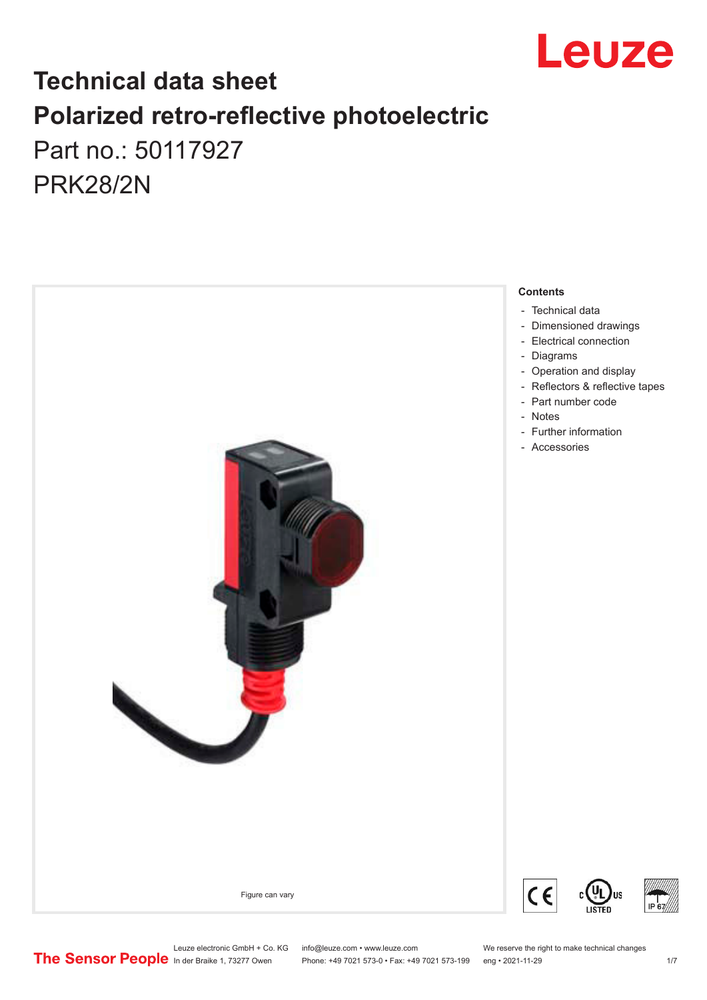

## **Technical data sheet Polarized retro-reflective photoelectric**  Part no.: 50117927 PRK28/2N



Leuze electronic GmbH + Co. KG info@leuze.com • www.leuze.com We reserve the right to make technical changes<br>
The Sensor People in der Braike 1, 73277 Owen Phone: +49 7021 573-0 • Fax: +49 7021 573-199 eng • 2021-11-29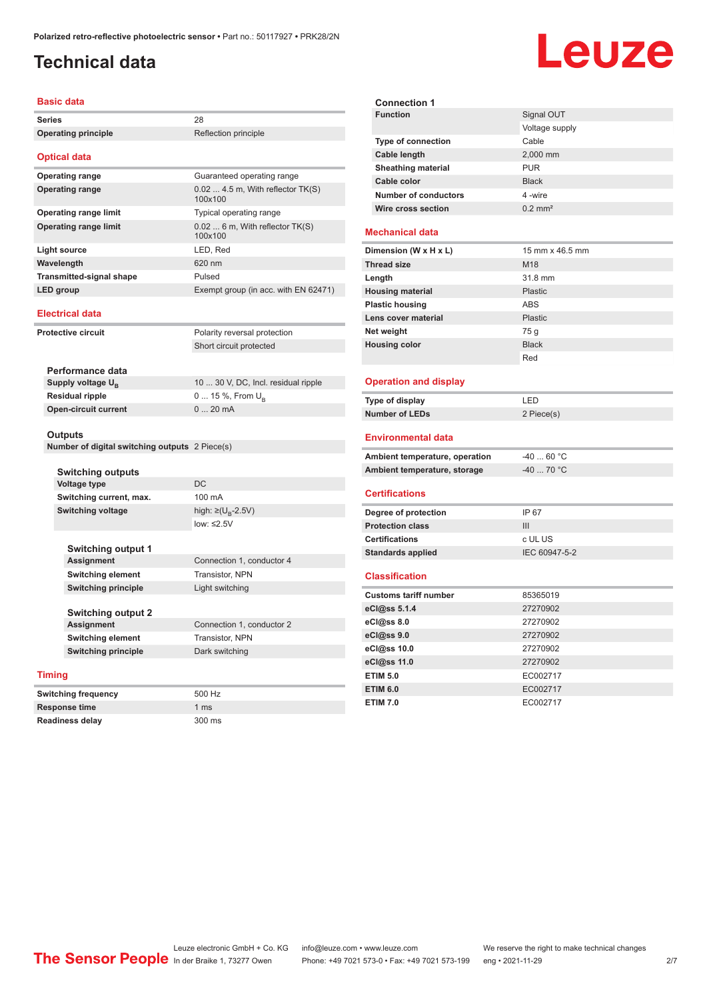#### <span id="page-1-0"></span>**Technical data**

# **Leuze**

**Signal OUT** Voltage supply

#### **Basic data**

|                                                  | Basic data                                     |                                             | <b>Connection 1</b>            |                       |
|--------------------------------------------------|------------------------------------------------|---------------------------------------------|--------------------------------|-----------------------|
| <b>Series</b>                                    |                                                | 28                                          | <b>Function</b>                | Signal OU             |
| <b>Operating principle</b>                       |                                                | Reflection principle                        |                                | Voltage su            |
|                                                  |                                                |                                             | Type of connection             | Cable                 |
|                                                  | <b>Optical data</b>                            |                                             | Cable length                   | 2,000 mm              |
|                                                  | <b>Operating range</b>                         | Guaranteed operating range                  | <b>Sheathing material</b>      | <b>PUR</b>            |
|                                                  | <b>Operating range</b>                         | $0.024.5$ m, With reflector TK(S)           | Cable color                    | <b>Black</b>          |
|                                                  |                                                | 100x100                                     | <b>Number of conductors</b>    | 4 -wire               |
|                                                  | <b>Operating range limit</b>                   | Typical operating range                     | Wire cross section             | $0.2$ mm <sup>2</sup> |
|                                                  | <b>Operating range limit</b>                   | $0.02$ 6 m, With reflector TK(S)<br>100x100 | Mechanical data                |                       |
|                                                  | <b>Light source</b>                            | LED, Red                                    | Dimension (W x H x L)          | $15$ mm $\times$ 4    |
|                                                  | Wavelength                                     | 620 nm                                      | <b>Thread size</b>             | M18                   |
|                                                  | <b>Transmitted-signal shape</b>                | Pulsed                                      | Length                         | 31.8 mm               |
|                                                  | <b>LED</b> group                               | Exempt group (in acc. with EN 62471)        | <b>Housing material</b>        | <b>Plastic</b>        |
|                                                  |                                                |                                             | <b>Plastic housing</b>         | ABS                   |
|                                                  | Electrical data                                |                                             | Lens cover material            | <b>Plastic</b>        |
|                                                  | <b>Protective circuit</b>                      | Polarity reversal protection                | Net weight                     | 75 g                  |
|                                                  |                                                | Short circuit protected                     | <b>Housing color</b>           | <b>Black</b>          |
|                                                  |                                                |                                             |                                | Red                   |
|                                                  | Performance data                               |                                             |                                |                       |
| Supply voltage $U_{B}$<br><b>Residual ripple</b> |                                                | 10  30 V, DC, Incl. residual ripple         | <b>Operation and display</b>   |                       |
|                                                  |                                                | 0  15 %, From $U_{\rm B}$                   | Type of display                | LED                   |
|                                                  | <b>Open-circuit current</b>                    | $020$ mA                                    | <b>Number of LEDs</b>          | 2 Piece(s)            |
|                                                  |                                                |                                             |                                |                       |
|                                                  | Outputs                                        |                                             | Environmental data             |                       |
|                                                  | Number of digital switching outputs 2 Piece(s) |                                             |                                |                       |
|                                                  |                                                |                                             | Ambient temperature, operation | $-4060$ °             |
|                                                  | <b>Switching outputs</b>                       |                                             | Ambient temperature, storage   | $-40$ 70 $^{\circ}$   |
|                                                  | <b>Voltage type</b>                            | <b>DC</b>                                   | <b>Certifications</b>          |                       |
|                                                  | Switching current, max.                        | 100 mA                                      |                                |                       |
|                                                  | <b>Switching voltage</b>                       | high: ≥( $U_p$ -2.5V)                       | Degree of protection           | IP 67                 |
|                                                  |                                                | low: $\leq$ 2.5V                            | <b>Protection class</b>        | III                   |
|                                                  |                                                |                                             | <b>Certifications</b>          | c UL US               |
|                                                  | <b>Switching output 1</b>                      |                                             | <b>Standards applied</b>       | IEC 60947             |
|                                                  | <b>Assignment</b>                              | Connection 1, conductor 4                   |                                |                       |
|                                                  | Switching element                              | Transistor, NPN                             | <b>Classification</b>          |                       |
|                                                  | <b>Switching principle</b>                     | Light switching                             | <b>Customs tariff number</b>   | 85365019              |
|                                                  |                                                |                                             | eCl@ss 5.1.4                   | 27270902              |
|                                                  | <b>Switching output 2</b>                      |                                             | eCl@ss 8.0                     | 27270902              |
|                                                  | Assignment                                     | Connection 1, conductor 2                   | eCl@ss 9.0                     | 27270902              |
|                                                  | <b>Switching element</b>                       | Transistor, NPN                             | eCl@ss 10.0                    | 27270902              |
|                                                  | <b>Switching principle</b>                     | Dark switching                              | eCl@ss 11.0                    | 27270902              |
| <b>Timing</b>                                    |                                                |                                             | <b>ETIM 5.0</b>                | EC002717              |
|                                                  |                                                |                                             |                                |                       |
|                                                  | <b>Switching frequency</b>                     | 500 Hz                                      | <b>ETIM 6.0</b>                | EC002717              |
| Response time                                    |                                                | 1 <sub>ms</sub>                             | <b>ETIM 7.0</b>                | EC002717              |

| Cable color                    | <b>Black</b>          |  |  |
|--------------------------------|-----------------------|--|--|
| <b>Number of conductors</b>    | 4-wire                |  |  |
| <b>Wire cross section</b>      | $0.2$ mm <sup>2</sup> |  |  |
|                                |                       |  |  |
| <b>Mechanical data</b>         |                       |  |  |
| Dimension (W x H x L)          | 15 mm x 46.5 mm       |  |  |
| <b>Thread size</b>             | M <sub>18</sub>       |  |  |
| Length                         | 31.8 mm               |  |  |
| <b>Housing material</b>        | Plastic               |  |  |
| <b>Plastic housing</b>         | <b>ABS</b>            |  |  |
| Lens cover material            | Plastic               |  |  |
| Net weight                     | 75 g                  |  |  |
| <b>Housing color</b>           | <b>Black</b>          |  |  |
|                                | Red                   |  |  |
|                                |                       |  |  |
| <b>Operation and display</b>   |                       |  |  |
| Type of display                | LED                   |  |  |
| <b>Number of LEDs</b>          | 2 Piece(s)            |  |  |
| Environmental data             |                       |  |  |
| Ambient temperature, operation | $-40$ 60 °C           |  |  |
| Ambient temperature, storage   | $-40$ 70 °C           |  |  |
|                                |                       |  |  |
| <b>Certifications</b>          |                       |  |  |
| Degree of protection           | IP 67                 |  |  |
| <b>Protection class</b>        | III                   |  |  |
| <b>Certifications</b>          | c UL US               |  |  |
| <b>Standards applied</b>       | IEC 60947-5-2         |  |  |
| <b>Classification</b>          |                       |  |  |
|                                |                       |  |  |
| <b>Customs tariff number</b>   | 85365019              |  |  |
| eCl@ss 5.1.4                   | 27270902              |  |  |
| eCl@ss 8.0                     | 27270902              |  |  |
| eCl@ss 9.0                     | 27270902              |  |  |
| eCl@ss 10.0                    | 27270902              |  |  |
| eCl@ss 11.0<br><b>ETIM 5.0</b> | 27270902              |  |  |
|                                | EC002717              |  |  |

| <b>Switching frequency</b> | 500 Hz           |
|----------------------------|------------------|
| <b>Response time</b>       | 1 <sub>ms</sub>  |
| <b>Readiness delay</b>     | $300 \text{ ms}$ |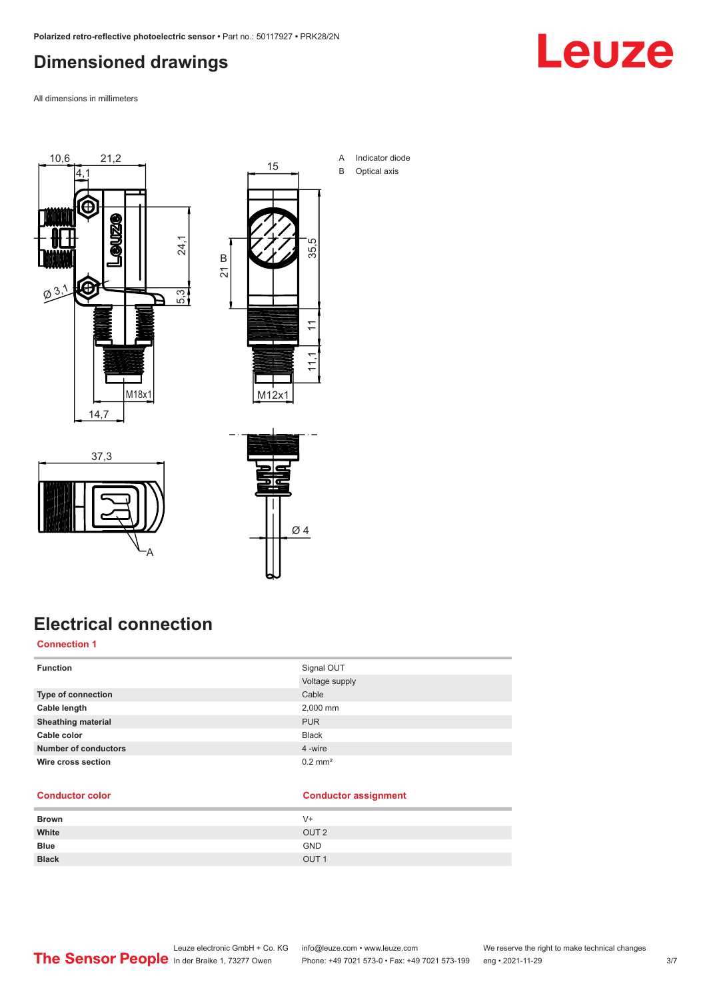#### <span id="page-2-0"></span>**Dimensioned drawings**

Leuze

All dimensions in millimeters





A Indicator diode B Optical axis





### **Electrical connection**

#### **Connection 1**

| <b>Function</b>             | Signal OUT            |
|-----------------------------|-----------------------|
|                             | Voltage supply        |
| Type of connection          | Cable                 |
| Cable length                | 2,000 mm              |
| <b>Sheathing material</b>   | <b>PUR</b>            |
| Cable color                 | <b>Black</b>          |
| <b>Number of conductors</b> | 4 -wire               |
| Wire cross section          | $0.2$ mm <sup>2</sup> |

#### **Conductor color Conductor assignment**

| <b>Brown</b> | V+               |
|--------------|------------------|
| White        | OUT <sub>2</sub> |
| <b>Blue</b>  | <b>GND</b>       |
| <b>Black</b> | OUT <sub>1</sub> |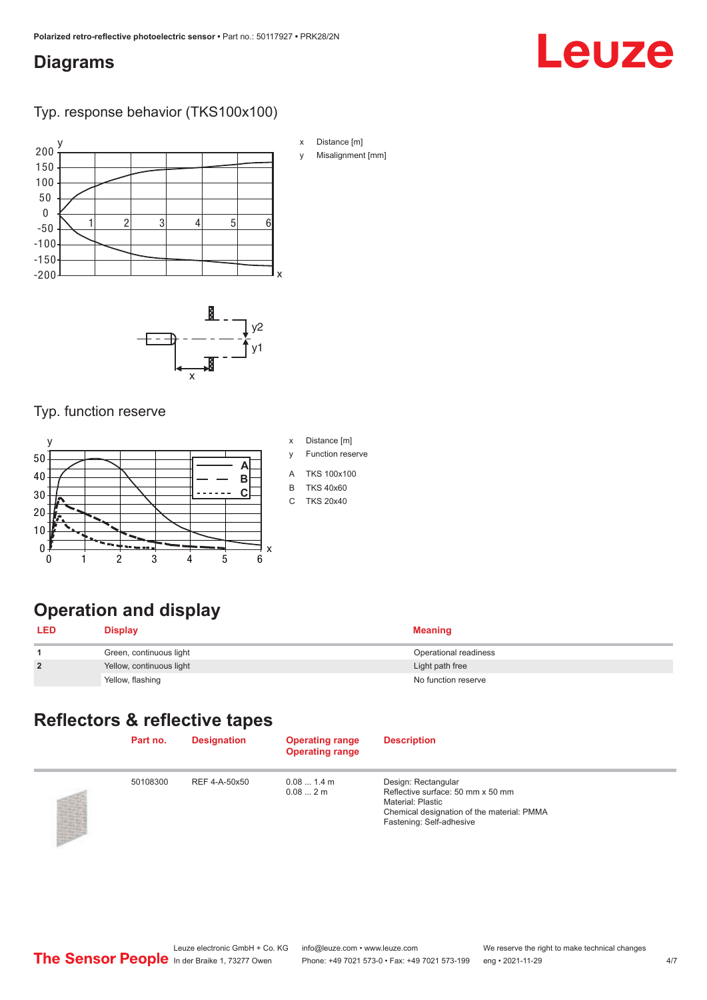#### <span id="page-3-0"></span>**Diagrams**

# Leuze

#### Typ. response behavior (TKS100x100)



- x Distance [m]
- y Misalignment [mm]



#### Typ. function reserve



### **Operation and display**

| LED            | <b>Display</b>           | <b>Meaning</b>        |
|----------------|--------------------------|-----------------------|
|                | Green, continuous light  | Operational readiness |
| $\overline{2}$ | Yellow, continuous light | Light path free       |
|                | Yellow, flashing         | No function reserve   |

### **Reflectors & reflective tapes**

| Part no. | <b>Designation</b> | <b>Operating range</b><br><b>Operating range</b> | <b>Description</b>                                                                                                                                      |
|----------|--------------------|--------------------------------------------------|---------------------------------------------------------------------------------------------------------------------------------------------------------|
| 50108300 | REF 4-A-50x50      | $0.081.4$ m<br>0.082m                            | Design: Rectangular<br>Reflective surface: 50 mm x 50 mm<br>Material: Plastic<br>Chemical designation of the material: PMMA<br>Fastening: Self-adhesive |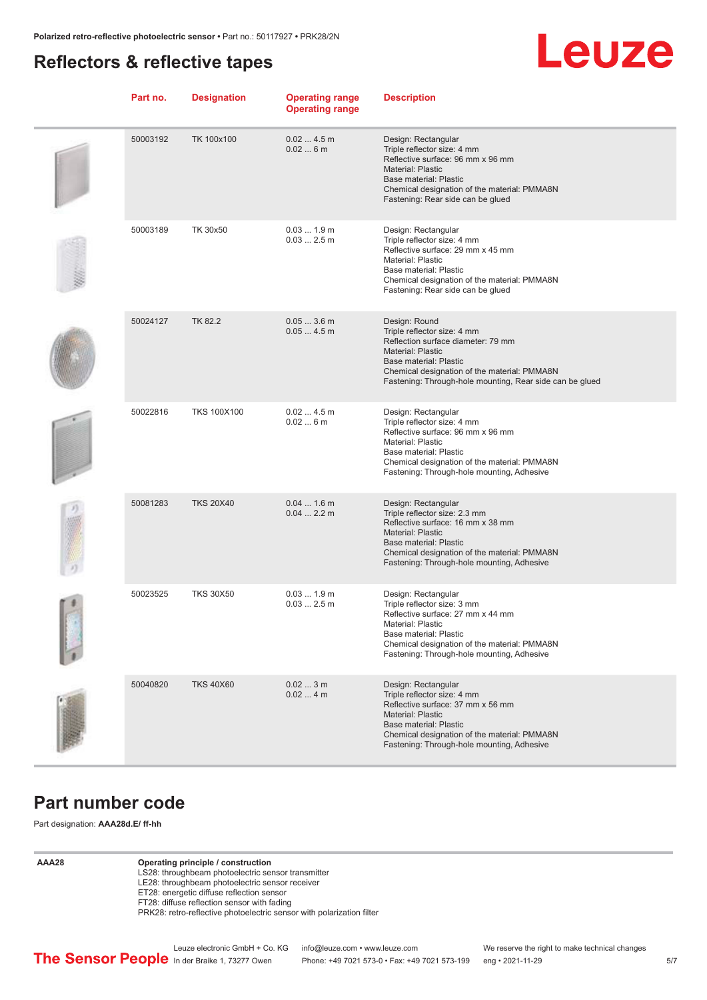#### <span id="page-4-0"></span>**Reflectors & reflective tapes**



| Part no. | <b>Designation</b> | <b>Operating range</b><br><b>Operating range</b> | <b>Description</b>                                                                                                                                                                                                                                   |
|----------|--------------------|--------------------------------------------------|------------------------------------------------------------------------------------------------------------------------------------------------------------------------------------------------------------------------------------------------------|
| 50003192 | TK 100x100         | 0.024.5m<br>0.026m                               | Design: Rectangular<br>Triple reflector size: 4 mm<br>Reflective surface: 96 mm x 96 mm<br>Material: Plastic<br>Base material: Plastic<br>Chemical designation of the material: PMMA8N<br>Fastening: Rear side can be glued                          |
| 50003189 | TK 30x50           | 0.031.9m<br>$0.032.5$ m                          | Design: Rectangular<br>Triple reflector size: 4 mm<br>Reflective surface: 29 mm x 45 mm<br>Material: Plastic<br>Base material: Plastic<br>Chemical designation of the material: PMMA8N<br>Fastening: Rear side can be glued                          |
| 50024127 | <b>TK 82.2</b>     | $0.053.6$ m<br>0.054.5m                          | Design: Round<br>Triple reflector size: 4 mm<br>Reflection surface diameter: 79 mm<br><b>Material: Plastic</b><br>Base material: Plastic<br>Chemical designation of the material: PMMA8N<br>Fastening: Through-hole mounting, Rear side can be glued |
| 50022816 | <b>TKS 100X100</b> | 0.024.5m<br>0.026m                               | Design: Rectangular<br>Triple reflector size: 4 mm<br>Reflective surface: 96 mm x 96 mm<br>Material: Plastic<br>Base material: Plastic<br>Chemical designation of the material: PMMA8N<br>Fastening: Through-hole mounting, Adhesive                 |
| 50081283 | <b>TKS 20X40</b>   | $0.041.6$ m<br>0.042.2 m                         | Design: Rectangular<br>Triple reflector size: 2.3 mm<br>Reflective surface: 16 mm x 38 mm<br><b>Material: Plastic</b><br>Base material: Plastic<br>Chemical designation of the material: PMMA8N<br>Fastening: Through-hole mounting, Adhesive        |
| 50023525 | <b>TKS 30X50</b>   | 0.031.9m<br>$0.032.5$ m                          | Design: Rectangular<br>Triple reflector size: 3 mm<br>Reflective surface: 27 mm x 44 mm<br>Material: Plastic<br>Base material: Plastic<br>Chemical designation of the material: PMMA8N<br>Fastening: Through-hole mounting, Adhesive                 |
| 50040820 | <b>TKS 40X60</b>   | 0.023m<br>0.024m                                 | Design: Rectangular<br>Triple reflector size: 4 mm<br>Reflective surface: 37 mm x 56 mm<br>Material: Plastic<br>Base material: Plastic<br>Chemical designation of the material: PMMA8N<br>Fastening: Through-hole mounting, Adhesive                 |

#### **Part number code**

Part designation: **AAA28d.E/ ff-hh**

**AAA28 Operating principle / construction**

- LS28: throughbeam photoelectric sensor transmitter
- LE28: throughbeam photoelectric sensor receiver

ET28: energetic diffuse reflection sensor FT28: diffuse reflection sensor with fading

PRK28: retro-reflective photoelectric sensor with polarization filter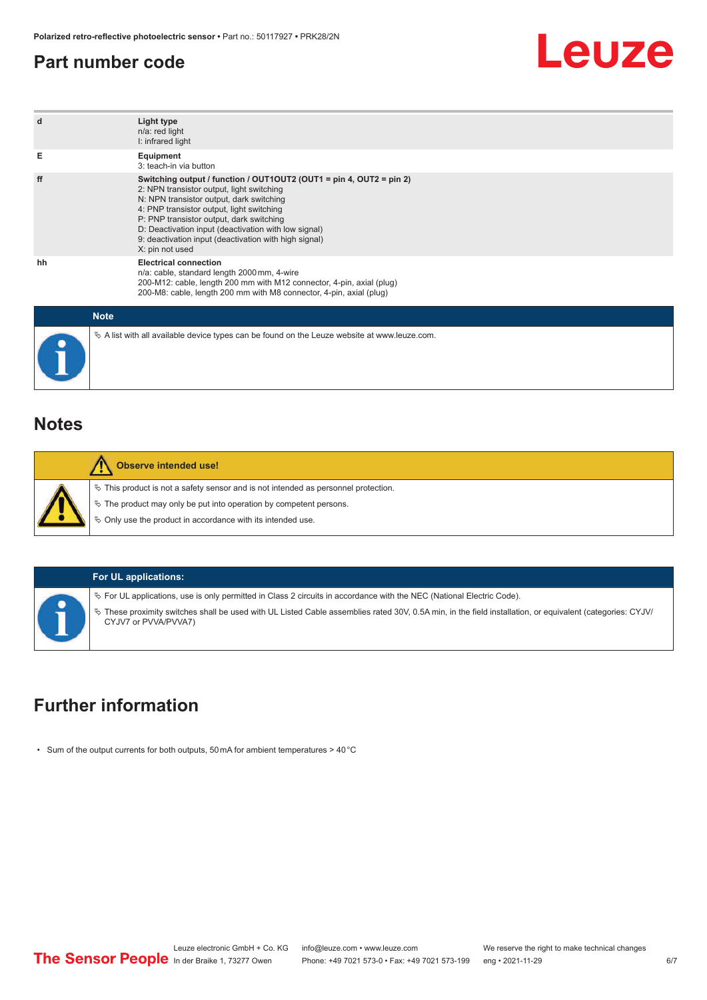#### <span id="page-5-0"></span>**Part number code**



| d           | Light type<br>n/a: red light<br>I: infrared light                                                                                                                                                                                                                                                                                                                                         |
|-------------|-------------------------------------------------------------------------------------------------------------------------------------------------------------------------------------------------------------------------------------------------------------------------------------------------------------------------------------------------------------------------------------------|
| Е           | Equipment<br>3: teach-in via button                                                                                                                                                                                                                                                                                                                                                       |
| ff          | Switching output / function / OUT1OUT2 (OUT1 = pin 4, OUT2 = pin 2)<br>2: NPN transistor output, light switching<br>N: NPN transistor output, dark switching<br>4: PNP transistor output, light switching<br>P: PNP transistor output, dark switching<br>D: Deactivation input (deactivation with low signal)<br>9: deactivation input (deactivation with high signal)<br>X: pin not used |
| hh          | <b>Electrical connection</b><br>n/a: cable, standard length 2000 mm, 4-wire<br>200-M12: cable, length 200 mm with M12 connector, 4-pin, axial (plug)<br>200-M8: cable, length 200 mm with M8 connector, 4-pin, axial (plug)                                                                                                                                                               |
| <b>Mata</b> |                                                                                                                                                                                                                                                                                                                                                                                           |

| <b>Note</b>                                                                                       |
|---------------------------------------------------------------------------------------------------|
| Vector A list with all available device types can be found on the Leuze website at www.leuze.com. |

#### **Notes**

| <b>Observe intended use!</b>                                                          |
|---------------------------------------------------------------------------------------|
| $\%$ This product is not a safety sensor and is not intended as personnel protection. |
| $\&$ The product may only be put into operation by competent persons.                 |
| $\%$ Only use the product in accordance with its intended use.                        |

#### **For UL applications:**

ª For UL applications, use is only permitted in Class 2 circuits in accordance with the NEC (National Electric Code).

ª These proximity switches shall be used with UL Listed Cable assemblies rated 30V, 0.5A min, in the field installation, or equivalent (categories: CYJV/ CYJV7 or PVVA/PVVA7)

### **Further information**

• Sum of the output currents for both outputs, 50 mA for ambient temperatures > 40 °C